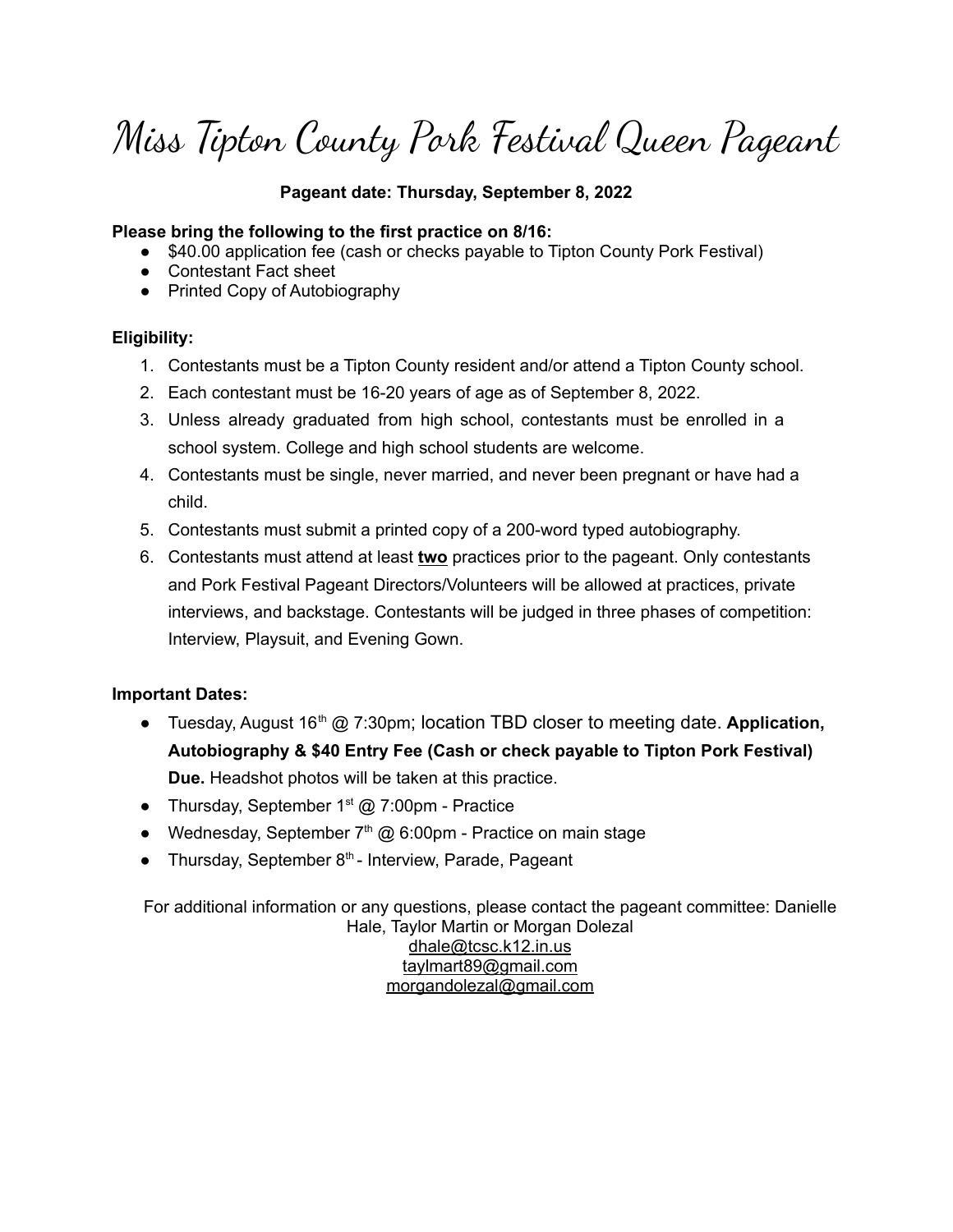Miss Tipton County Pork Festival Queen Pageant

## **Pageant date: Thursday, September 8, 2022**

### **Please bring the following to the first practice on 8/16:**

- \$40.00 application fee (cash or checks payable to Tipton County Pork Festival)
- Contestant Fact sheet
- Printed Copy of Autobiography

### **Eligibility:**

- 1. Contestants must be a Tipton County resident and/or attend a Tipton County school.
- 2. Each contestant must be 16-20 years of age as of September 8, 2022.
- 3. Unless already graduated from high school, contestants must be enrolled in a school system. College and high school students are welcome.
- 4. Contestants must be single, never married, and never been pregnant or have had a child.
- 5. Contestants must submit a printed copy of a 200-word typed autobiography.
- 6. Contestants must attend at least **two** practices prior to the pageant. Only contestants and Pork Festival Pageant Directors/Volunteers will be allowed at practices, private interviews, and backstage. Contestants will be judged in three phases of competition: Interview, Playsuit, and Evening Gown.

### **Important Dates:**

- Tuesday, August 16<sup>th</sup> @ 7:30pm; location TBD closer to meeting date. Application, **Autobiography & \$40 Entry Fee (Cash or check payable to Tipton Pork Festival) Due.** Headshot photos will be taken at this practice.
- Thursday, September  $1<sup>st</sup>$  @ 7:00pm Practice
- Wednesday, September  $7<sup>th</sup>$  @ 6:00pm Practice on main stage
- Thursday, September 8<sup>th</sup> Interview, Parade, Pageant

For additional information or any questions, please contact the pageant committee: Danielle Hale, Taylor Martin or Morgan Dolezal [dhale@tcsc.k12.in.us](mailto:dhale@tcsc.k12.in.us) [taylmart89@gmail.com](mailto:taylmart89@gmail.com) [morgandolezal@gmail.com](mailto:morgandolezal@gmail.com)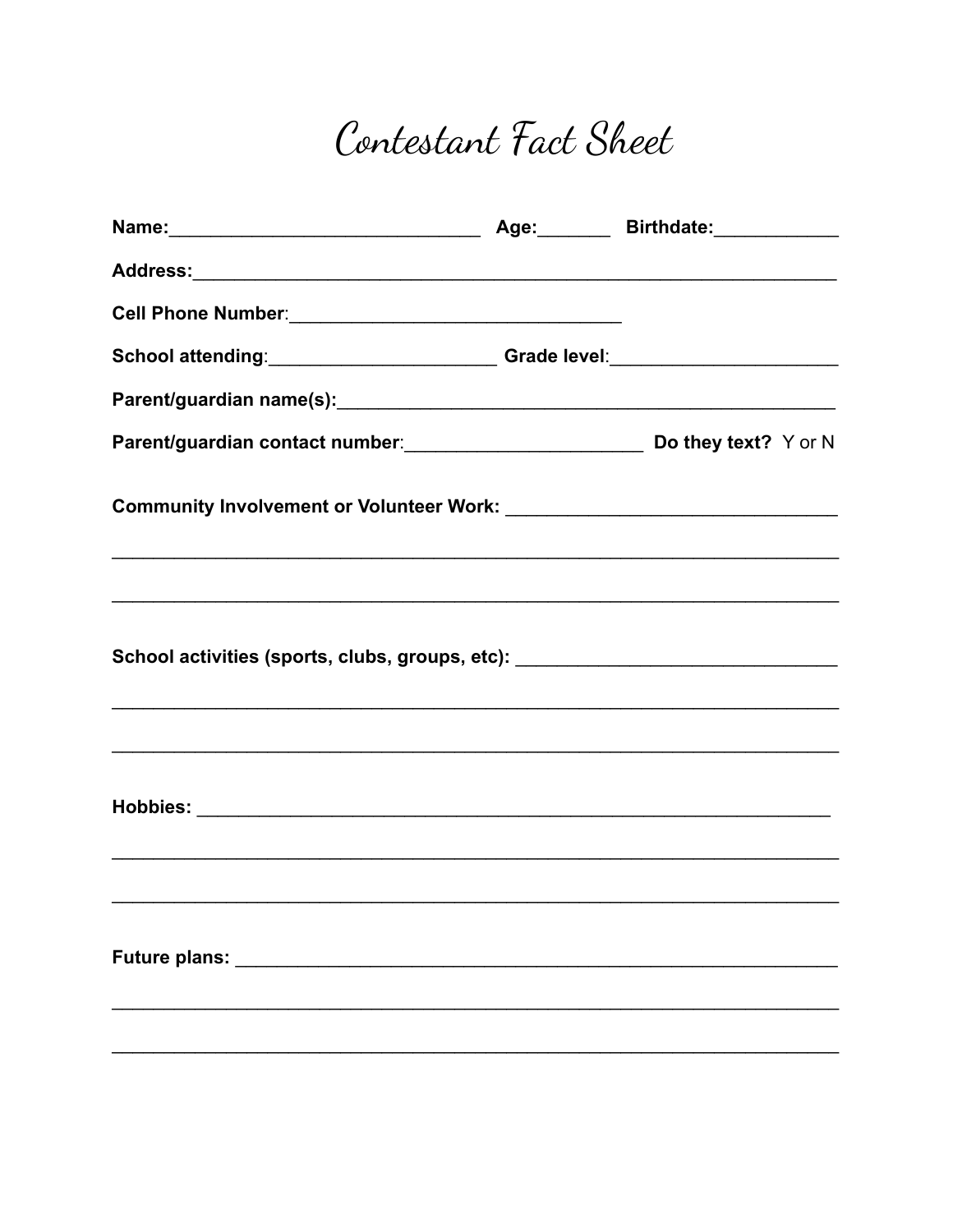# Contestant Fact Sheet

| Name: 2008 2009 2010 2021 2022 2023 2024 2022 2022 2023 2024 2022 2023 2024 2022 2023 2024 2022 2023 2024 2025                                        | Age: <b>Marker Age: Marker Age: Marker Age:</b> Marker Birthdate: Marker Age: Marker Age: Marker Age: Marker Age: Marker Age: Marker Age: Marker Age: Marker Age: Marker Age: Marker Age: Marker Age: Marker Age: Marker Age: Marke |
|-------------------------------------------------------------------------------------------------------------------------------------------------------|-------------------------------------------------------------------------------------------------------------------------------------------------------------------------------------------------------------------------------------|
|                                                                                                                                                       |                                                                                                                                                                                                                                     |
|                                                                                                                                                       |                                                                                                                                                                                                                                     |
| School attending: ________________________Grade level: _________________________                                                                      |                                                                                                                                                                                                                                     |
|                                                                                                                                                       |                                                                                                                                                                                                                                     |
| Parent/guardian contact number: Do they text? Y or N                                                                                                  |                                                                                                                                                                                                                                     |
|                                                                                                                                                       |                                                                                                                                                                                                                                     |
|                                                                                                                                                       |                                                                                                                                                                                                                                     |
| School activities (sports, clubs, groups, etc): ________________________________                                                                      |                                                                                                                                                                                                                                     |
| ,我们也不能在这里的时候,我们也不能在这里的时候,我们也不能会不能会不能会不能会不能会不能会不能会不能会不能会不能会不能会不能会。<br>第2012章 我们的时候,我们的时候,我们的时候,我们的时候,我们的时候,我们的时候,我们的时候,我们的时候,我们的时候,我们的时候,我们的时候,我们的时候,我 |                                                                                                                                                                                                                                     |
|                                                                                                                                                       |                                                                                                                                                                                                                                     |
| ,我们也不能在这里的时候,我们也不能在这里的时候,我们也不能会不能会不能会不能会不能会不能会不能会不能会不能会不能会。""我们的是,我们也不能会不能会不能会不能                                                                      |                                                                                                                                                                                                                                     |
| Future plans: _____________                                                                                                                           |                                                                                                                                                                                                                                     |
|                                                                                                                                                       |                                                                                                                                                                                                                                     |
|                                                                                                                                                       |                                                                                                                                                                                                                                     |